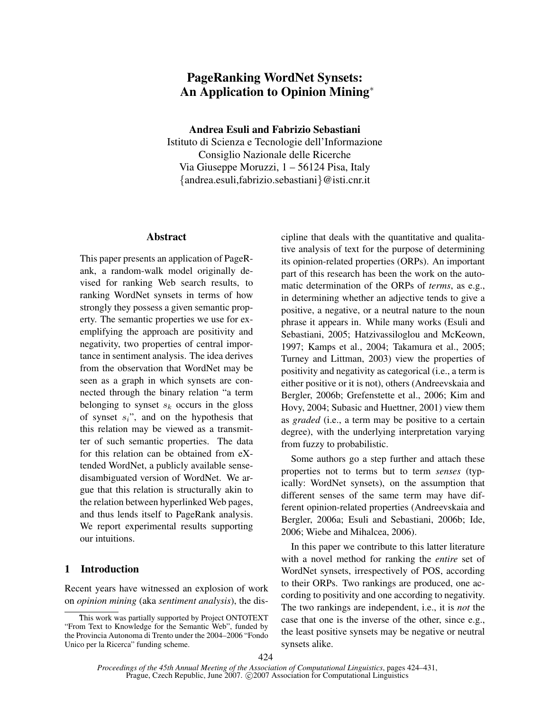# PageRanking WordNet Synsets: An Application to Opinion Mining<sup>∗</sup>

Andrea Esuli and Fabrizio Sebastiani

Istituto di Scienza e Tecnologie dell'Informazione Consiglio Nazionale delle Ricerche Via Giuseppe Moruzzi, 1 – 56124 Pisa, Italy {andrea.esuli,fabrizio.sebastiani}@isti.cnr.it

## Abstract

This paper presents an application of PageRank, a random-walk model originally devised for ranking Web search results, to ranking WordNet synsets in terms of how strongly they possess a given semantic property. The semantic properties we use for exemplifying the approach are positivity and negativity, two properties of central importance in sentiment analysis. The idea derives from the observation that WordNet may be seen as a graph in which synsets are connected through the binary relation "a term belonging to synset  $s_k$  occurs in the gloss of synset  $s_i$ ", and on the hypothesis that this relation may be viewed as a transmitter of such semantic properties. The data for this relation can be obtained from eXtended WordNet, a publicly available sensedisambiguated version of WordNet. We argue that this relation is structurally akin to the relation between hyperlinked Web pages, and thus lends itself to PageRank analysis. We report experimental results supporting our intuitions.

### 1 Introduction

Recent years have witnessed an explosion of work on *opinion mining* (aka *sentiment analysis*), the discipline that deals with the quantitative and qualitative analysis of text for the purpose of determining its opinion-related properties (ORPs). An important part of this research has been the work on the automatic determination of the ORPs of *terms*, as e.g., in determining whether an adjective tends to give a positive, a negative, or a neutral nature to the noun phrase it appears in. While many works (Esuli and Sebastiani, 2005; Hatzivassiloglou and McKeown, 1997; Kamps et al., 2004; Takamura et al., 2005; Turney and Littman, 2003) view the properties of positivity and negativity as categorical (i.e., a term is either positive or it is not), others (Andreevskaia and Bergler, 2006b; Grefenstette et al., 2006; Kim and Hovy, 2004; Subasic and Huettner, 2001) view them as *graded* (i.e., a term may be positive to a certain degree), with the underlying interpretation varying from fuzzy to probabilistic.

Some authors go a step further and attach these properties not to terms but to term *senses* (typically: WordNet synsets), on the assumption that different senses of the same term may have different opinion-related properties (Andreevskaia and Bergler, 2006a; Esuli and Sebastiani, 2006b; Ide, 2006; Wiebe and Mihalcea, 2006).

In this paper we contribute to this latter literature with a novel method for ranking the *entire* set of WordNet synsets, irrespectively of POS, according to their ORPs. Two rankings are produced, one according to positivity and one according to negativity. The two rankings are independent, i.e., it is *not* the case that one is the inverse of the other, since e.g., the least positive synsets may be negative or neutral synsets alike.

This work was partially supported by Project ONTOTEXT "From Text to Knowledge for the Semantic Web", funded by the Provincia Autonoma di Trento under the 2004–2006 "Fondo Unico per la Ricerca" funding scheme.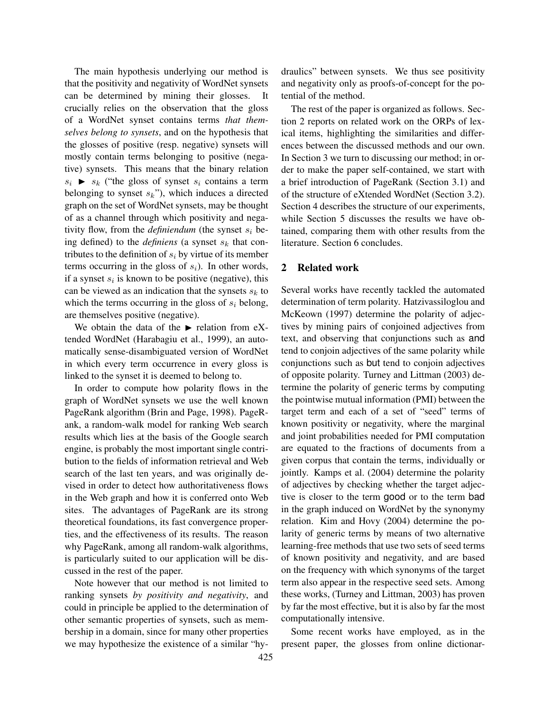The main hypothesis underlying our method is that the positivity and negativity of WordNet synsets can be determined by mining their glosses. It crucially relies on the observation that the gloss of a WordNet synset contains terms *that themselves belong to synsets*, and on the hypothesis that the glosses of positive (resp. negative) synsets will mostly contain terms belonging to positive (negative) synsets. This means that the binary relation  $s_i$   $\triangleright$   $s_k$  ("the gloss of synset  $s_i$  contains a term belonging to synset  $s_k$ "), which induces a directed graph on the set of WordNet synsets, may be thought of as a channel through which positivity and negativity flow, from the *definiendum* (the synset  $s_i$  being defined) to the *definiens* (a synset  $s_k$  that contributes to the definition of  $s_i$  by virtue of its member terms occurring in the gloss of  $s_i$ ). In other words, if a synset  $s_i$  is known to be positive (negative), this can be viewed as an indication that the synsets  $s_k$  to which the terms occurring in the gloss of  $s_i$  belong, are themselves positive (negative).

We obtain the data of the  $\blacktriangleright$  relation from eXtended WordNet (Harabagiu et al., 1999), an automatically sense-disambiguated version of WordNet in which every term occurrence in every gloss is linked to the synset it is deemed to belong to.

In order to compute how polarity flows in the graph of WordNet synsets we use the well known PageRank algorithm (Brin and Page, 1998). PageRank, a random-walk model for ranking Web search results which lies at the basis of the Google search engine, is probably the most important single contribution to the fields of information retrieval and Web search of the last ten years, and was originally devised in order to detect how authoritativeness flows in the Web graph and how it is conferred onto Web sites. The advantages of PageRank are its strong theoretical foundations, its fast convergence properties, and the effectiveness of its results. The reason why PageRank, among all random-walk algorithms, is particularly suited to our application will be discussed in the rest of the paper.

Note however that our method is not limited to ranking synsets *by positivity and negativity*, and could in principle be applied to the determination of other semantic properties of synsets, such as membership in a domain, since for many other properties we may hypothesize the existence of a similar "hydraulics" between synsets. We thus see positivity and negativity only as proofs-of-concept for the potential of the method.

The rest of the paper is organized as follows. Section 2 reports on related work on the ORPs of lexical items, highlighting the similarities and differences between the discussed methods and our own. In Section 3 we turn to discussing our method; in order to make the paper self-contained, we start with a brief introduction of PageRank (Section 3.1) and of the structure of eXtended WordNet (Section 3.2). Section 4 describes the structure of our experiments, while Section 5 discusses the results we have obtained, comparing them with other results from the literature. Section 6 concludes.

### 2 Related work

Several works have recently tackled the automated determination of term polarity. Hatzivassiloglou and McKeown (1997) determine the polarity of adjectives by mining pairs of conjoined adjectives from text, and observing that conjunctions such as and tend to conjoin adjectives of the same polarity while conjunctions such as but tend to conjoin adjectives of opposite polarity. Turney and Littman (2003) determine the polarity of generic terms by computing the pointwise mutual information (PMI) between the target term and each of a set of "seed" terms of known positivity or negativity, where the marginal and joint probabilities needed for PMI computation are equated to the fractions of documents from a given corpus that contain the terms, individually or jointly. Kamps et al. (2004) determine the polarity of adjectives by checking whether the target adjective is closer to the term good or to the term bad in the graph induced on WordNet by the synonymy relation. Kim and Hovy (2004) determine the polarity of generic terms by means of two alternative learning-free methods that use two sets of seed terms of known positivity and negativity, and are based on the frequency with which synonyms of the target term also appear in the respective seed sets. Among these works, (Turney and Littman, 2003) has proven by far the most effective, but it is also by far the most computationally intensive.

Some recent works have employed, as in the present paper, the glosses from online dictionar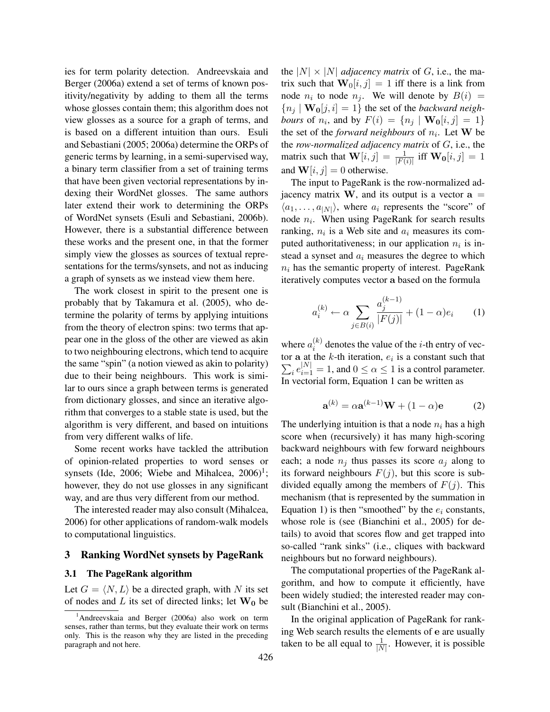ies for term polarity detection. Andreevskaia and Berger (2006a) extend a set of terms of known positivity/negativity by adding to them all the terms whose glosses contain them; this algorithm does not view glosses as a source for a graph of terms, and is based on a different intuition than ours. Esuli and Sebastiani (2005; 2006a) determine the ORPs of generic terms by learning, in a semi-supervised way, a binary term classifier from a set of training terms that have been given vectorial representations by indexing their WordNet glosses. The same authors later extend their work to determining the ORPs of WordNet synsets (Esuli and Sebastiani, 2006b). However, there is a substantial difference between these works and the present one, in that the former simply view the glosses as sources of textual representations for the terms/synsets, and not as inducing a graph of synsets as we instead view them here.

The work closest in spirit to the present one is probably that by Takamura et al. (2005), who determine the polarity of terms by applying intuitions from the theory of electron spins: two terms that appear one in the gloss of the other are viewed as akin to two neighbouring electrons, which tend to acquire the same "spin" (a notion viewed as akin to polarity) due to their being neighbours. This work is similar to ours since a graph between terms is generated from dictionary glosses, and since an iterative algorithm that converges to a stable state is used, but the algorithm is very different, and based on intuitions from very different walks of life.

Some recent works have tackled the attribution of opinion-related properties to word senses or synsets (Ide, 2006; Wiebe and Mihalcea,  $2006$ <sup>1</sup>; however, they do not use glosses in any significant way, and are thus very different from our method.

The interested reader may also consult (Mihalcea, 2006) for other applications of random-walk models to computational linguistics.

### 3 Ranking WordNet synsets by PageRank

#### 3.1 The PageRank algorithm

Let  $G = \langle N, L \rangle$  be a directed graph, with N its set of nodes and L its set of directed links; let  $W_0$  be the  $|N| \times |N|$  *adjacency matrix* of G, i.e., the matrix such that  $\mathbf{W}_0[i, j] = 1$  iff there is a link from node  $n_i$  to node  $n_j$ . We will denote by  $B(i) =$  ${n_i | \mathbf{W_0}[j,i] = 1}$  the set of the *backward neigh*bours of  $n_i$ , and by  $F(i) = \{n_j | \mathbf{W_0}[i,j] = 1\}$ the set of the *forward neighbours* of  $n_i$ . Let **W** be the *row-normalized adjacency matrix* of G, i.e., the matrix such that  $\mathbf{W}[i, j] = \frac{1}{|F(i)|}$  iff  $\mathbf{W_0}[i, j] = 1$ and  $W[i, j] = 0$  otherwise.

The input to PageRank is the row-normalized adjacency matrix W, and its output is a vector  $a =$  $\langle a_1, \ldots, a_{|N|} \rangle$ , where  $a_i$  represents the "score" of node  $n_i$ . When using PageRank for search results ranking,  $n_i$  is a Web site and  $a_i$  measures its computed authoritativeness; in our application  $n_i$  is instead a synset and  $a_i$  measures the degree to which  $n_i$  has the semantic property of interest. PageRank iteratively computes vector a based on the formula

$$
a_i^{(k)} \leftarrow \alpha \sum_{j \in B(i)} \frac{a_j^{(k-1)}}{|F(j)|} + (1 - \alpha)e_i \qquad (1)
$$

where  $a_i^{(k)}$  $i^{(k)}$  denotes the value of the *i*-th entry of vector a at the k-th iteration,  $e_i$  is a constant such that  $\sum_{i} e_{i=1}^{|N|} = 1$ , and  $0 \le \alpha \le 1$  is a control parameter. In vectorial form, Equation 1 can be written as

$$
\mathbf{a}^{(k)} = \alpha \mathbf{a}^{(k-1)} \mathbf{W} + (1 - \alpha) \mathbf{e}
$$
 (2)

The underlying intuition is that a node  $n_i$  has a high score when (recursively) it has many high-scoring backward neighbours with few forward neighbours each; a node  $n_i$  thus passes its score  $a_i$  along to its forward neighbours  $F(j)$ , but this score is subdivided equally among the members of  $F(j)$ . This mechanism (that is represented by the summation in Equation 1) is then "smoothed" by the  $e_i$  constants, whose role is (see (Bianchini et al., 2005) for details) to avoid that scores flow and get trapped into so-called "rank sinks" (i.e., cliques with backward neighbours but no forward neighbours).

The computational properties of the PageRank algorithm, and how to compute it efficiently, have been widely studied; the interested reader may consult (Bianchini et al., 2005).

In the original application of PageRank for ranking Web search results the elements of e are usually taken to be all equal to  $\frac{1}{|N|}$ . However, it is possible

<sup>&</sup>lt;sup>1</sup>Andreevskaia and Berger (2006a) also work on term senses, rather than terms, but they evaluate their work on terms only. This is the reason why they are listed in the preceding paragraph and not here.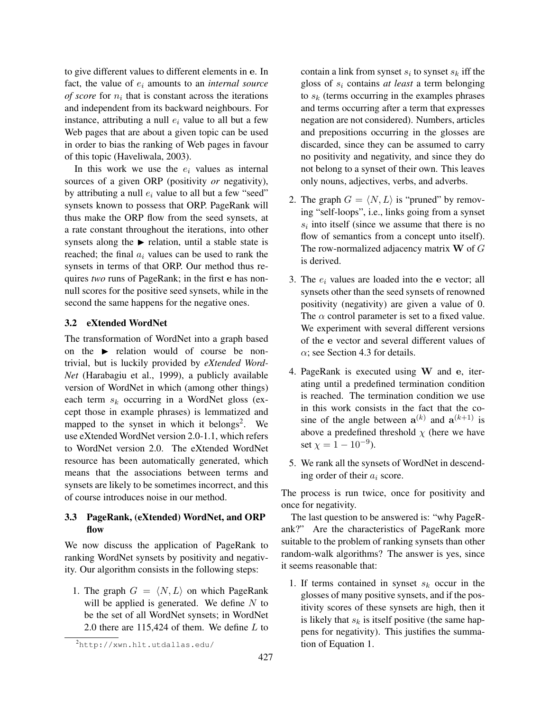to give different values to different elements in e. In fact, the value of  $e_i$  amounts to an *internal source of score* for  $n_i$  that is constant across the iterations and independent from its backward neighbours. For instance, attributing a null  $e_i$  value to all but a few Web pages that are about a given topic can be used in order to bias the ranking of Web pages in favour of this topic (Haveliwala, 2003).

In this work we use the  $e_i$  values as internal sources of a given ORP (positivity *or* negativity), by attributing a null  $e_i$  value to all but a few "seed" synsets known to possess that ORP. PageRank will thus make the ORP flow from the seed synsets, at a rate constant throughout the iterations, into other synsets along the  $\blacktriangleright$  relation, until a stable state is reached; the final  $a_i$  values can be used to rank the synsets in terms of that ORP. Our method thus requires *two* runs of PageRank; in the first e has nonnull scores for the positive seed synsets, while in the second the same happens for the negative ones.

### 3.2 eXtended WordNet

The transformation of WordNet into a graph based on the  $\blacktriangleright$  relation would of course be nontrivial, but is luckily provided by *eXtended Word-Net* (Harabagiu et al., 1999), a publicly available version of WordNet in which (among other things) each term  $s_k$  occurring in a WordNet gloss (except those in example phrases) is lemmatized and mapped to the synset in which it belongs<sup>2</sup>. We use eXtended WordNet version 2.0-1.1, which refers to WordNet version 2.0. The eXtended WordNet resource has been automatically generated, which means that the associations between terms and synsets are likely to be sometimes incorrect, and this of course introduces noise in our method.

# 3.3 PageRank, (eXtended) WordNet, and ORP flow

We now discuss the application of PageRank to ranking WordNet synsets by positivity and negativity. Our algorithm consists in the following steps:

1. The graph  $G = \langle N, L \rangle$  on which PageRank will be applied is generated. We define  $N$  to be the set of all WordNet synsets; in WordNet 2.0 there are  $115,424$  of them. We define  $L$  to

contain a link from synset  $s_i$  to synset  $s_k$  iff the gloss of  $s_i$  contains *at least* a term belonging to  $s_k$  (terms occurring in the examples phrases and terms occurring after a term that expresses negation are not considered). Numbers, articles and prepositions occurring in the glosses are discarded, since they can be assumed to carry no positivity and negativity, and since they do not belong to a synset of their own. This leaves only nouns, adjectives, verbs, and adverbs.

- 2. The graph  $G = \langle N, L \rangle$  is "pruned" by removing "self-loops", i.e., links going from a synset  $s_i$  into itself (since we assume that there is no flow of semantics from a concept unto itself). The row-normalized adjacency matrix  $W$  of  $G$ is derived.
- 3. The  $e_i$  values are loaded into the e vector; all synsets other than the seed synsets of renowned positivity (negativity) are given a value of 0. The  $\alpha$  control parameter is set to a fixed value. We experiment with several different versions of the e vector and several different values of  $\alpha$ ; see Section 4.3 for details.
- 4. PageRank is executed using W and e, iterating until a predefined termination condition is reached. The termination condition we use in this work consists in the fact that the cosine of the angle between  $\mathbf{a}^{(k)}$  and  $\mathbf{a}^{(k+1)}$  is above a predefined threshold  $\chi$  (here we have set  $\chi = 1 - 10^{-9}$ ).
- 5. We rank all the synsets of WordNet in descending order of their  $a_i$  score.

The process is run twice, once for positivity and once for negativity.

The last question to be answered is: "why PageRank?" Are the characteristics of PageRank more suitable to the problem of ranking synsets than other random-walk algorithms? The answer is yes, since it seems reasonable that:

1. If terms contained in synset  $s_k$  occur in the glosses of many positive synsets, and if the positivity scores of these synsets are high, then it is likely that  $s_k$  is itself positive (the same happens for negativity). This justifies the summation of Equation 1.

<sup>2</sup>http://xwn.hlt.utdallas.edu/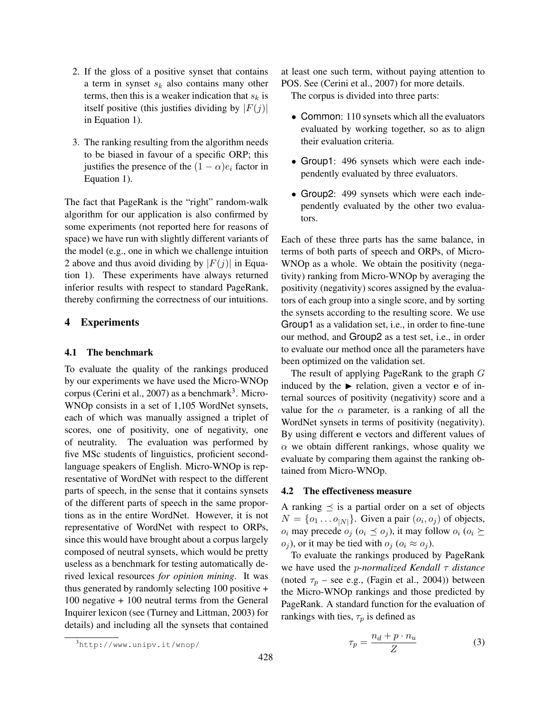- 2. If the gloss of a positive synset that contains a term in synset  $s_k$  also contains many other terms, then this is a weaker indication that  $s_k$  is itself positive (this justifies dividing by  $|F(j)|$ in Equation 1).
- 3. The ranking resulting from the algorithm needs to be biased in favour of a specific ORP; this justifies the presence of the  $(1 - \alpha)e_i$  factor in Equation 1).

The fact that PageRank is the "right" random-walk algorithm for our application is also confirmed by some experiments (not reported here for reasons of space) we have run with slightly different variants of the model (e.g., one in which we challenge intuition 2 above and thus avoid dividing by  $|F(j)|$  in Equation 1). These experiments have always returned inferior results with respect to standard PageRank, thereby confirming the correctness of our intuitions.

## 4 Experiments

### 4.1 The benchmark

To evaluate the quality of the rankings produced by our experiments we have used the Micro-WNOp corpus (Cerini et al., 2007) as a benchmark<sup>3</sup>. Micro-WNOp consists in a set of 1,105 WordNet synsets, each of which was manually assigned a triplet of scores, one of positivity, one of negativity, one of neutrality. The evaluation was performed by five MSc students of linguistics, proficient secondlanguage speakers of English. Micro-WNOp is representative of WordNet with respect to the different parts of speech, in the sense that it contains synsets of the different parts of speech in the same proportions as in the entire WordNet. However, it is not representative of WordNet with respect to ORPs, since this would have brought about a corpus largely composed of neutral synsets, which would be pretty useless as a benchmark for testing automatically derived lexical resources *for opinion mining*. It was thus generated by randomly selecting 100 positive + 100 negative + 100 neutral terms from the General Inquirer lexicon (see (Turney and Littman, 2003) for details) and including all the synsets that contained

at least one such term, without paying attention to POS. See (Cerini et al., 2007) for more details.

The corpus is divided into three parts:

- Common: 110 synsets which all the evaluators evaluated by working together, so as to align their evaluation criteria.
- Group1: 496 synsets which were each independently evaluated by three evaluators.
- Group2: 499 synsets which were each independently evaluated by the other two evaluators.

Each of these three parts has the same balance, in terms of both parts of speech and ORPs, of Micro-WNOp as a whole. We obtain the positivity (negativity) ranking from Micro-WNOp by averaging the positivity (negativity) scores assigned by the evaluators of each group into a single score, and by sorting the synsets according to the resulting score. We use Group1 as a validation set, i.e., in order to fine-tune our method, and Group2 as a test set, i.e., in order to evaluate our method once all the parameters have been optimized on the validation set.

The result of applying PageRank to the graph G induced by the  $\blacktriangleright$  relation, given a vector e of internal sources of positivity (negativity) score and a value for the  $\alpha$  parameter, is a ranking of all the WordNet synsets in terms of positivity (negativity). By using different e vectors and different values of  $\alpha$  we obtain different rankings, whose quality we evaluate by comparing them against the ranking obtained from Micro-WNOp.

#### 4.2 The effectiveness measure

A ranking  $\preceq$  is a partial order on a set of objects  $N = \{o_1 \dots o_{|N|}\}\.$  Given a pair  $(o_i, o_j)$  of objects,  $o_i$  may precede  $o_j$  ( $o_i \preceq o_j$ ), it may follow  $o_i$  ( $o_i \succeq$  $o_i$ ), or it may be tied with  $o_i$  ( $o_i \approx o_i$ ).

To evaluate the rankings produced by PageRank we have used the p*-normalized Kendall* τ *distance* (noted  $\tau_p$  – see e.g., (Fagin et al., 2004)) between the Micro-WNOp rankings and those predicted by PageRank. A standard function for the evaluation of rankings with ties,  $\tau_p$  is defined as

$$
\tau_p = \frac{n_d + p \cdot n_u}{Z} \tag{3}
$$

<sup>3</sup>http://www.unipv.it/wnop/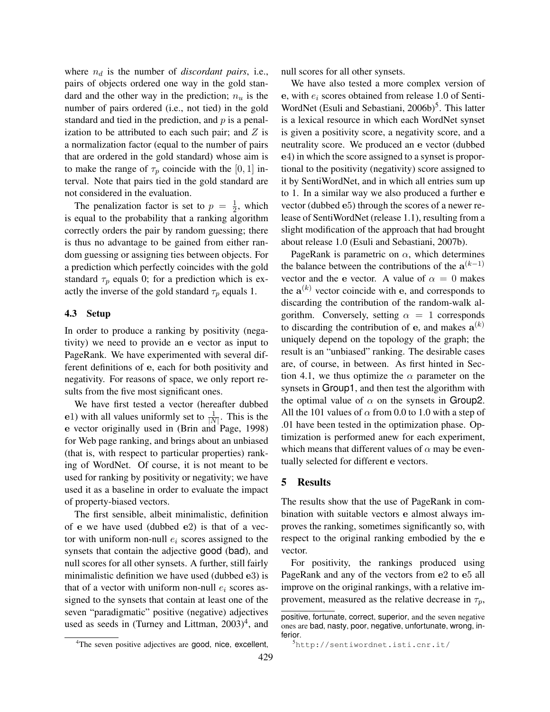where  $n_d$  is the number of *discordant pairs*, i.e., pairs of objects ordered one way in the gold standard and the other way in the prediction;  $n_u$  is the number of pairs ordered (i.e., not tied) in the gold standard and tied in the prediction, and  $p$  is a penalization to be attributed to each such pair; and  $Z$  is a normalization factor (equal to the number of pairs that are ordered in the gold standard) whose aim is to make the range of  $\tau_p$  coincide with the [0, 1] interval. Note that pairs tied in the gold standard are not considered in the evaluation.

The penalization factor is set to  $p = \frac{1}{2}$  $\frac{1}{2}$ , which is equal to the probability that a ranking algorithm correctly orders the pair by random guessing; there is thus no advantage to be gained from either random guessing or assigning ties between objects. For a prediction which perfectly coincides with the gold standard  $\tau_p$  equals 0; for a prediction which is exactly the inverse of the gold standard  $\tau_p$  equals 1.

### 4.3 Setup

In order to produce a ranking by positivity (negativity) we need to provide an e vector as input to PageRank. We have experimented with several different definitions of e, each for both positivity and negativity. For reasons of space, we only report results from the five most significant ones.

We have first tested a vector (hereafter dubbed e1) with all values uniformly set to  $\frac{1}{|N|}$ . This is the e vector originally used in (Brin and Page, 1998) for Web page ranking, and brings about an unbiased (that is, with respect to particular properties) ranking of WordNet. Of course, it is not meant to be used for ranking by positivity or negativity; we have used it as a baseline in order to evaluate the impact of property-biased vectors.

The first sensible, albeit minimalistic, definition of e we have used (dubbed e2) is that of a vector with uniform non-null  $e_i$  scores assigned to the synsets that contain the adjective good (bad), and null scores for all other synsets. A further, still fairly minimalistic definition we have used (dubbed e3) is that of a vector with uniform non-null  $e_i$  scores assigned to the synsets that contain at least one of the seven "paradigmatic" positive (negative) adjectives used as seeds in (Turney and Littman,  $2003)^4$ , and

null scores for all other synsets.

We have also tested a more complex version of e, with  $e_i$  scores obtained from release 1.0 of Senti-WordNet (Esuli and Sebastiani, 2006b)<sup>5</sup>. This latter is a lexical resource in which each WordNet synset is given a positivity score, a negativity score, and a neutrality score. We produced an e vector (dubbed e4) in which the score assigned to a synset is proportional to the positivity (negativity) score assigned to it by SentiWordNet, and in which all entries sum up to 1. In a similar way we also produced a further e vector (dubbed e5) through the scores of a newer release of SentiWordNet (release 1.1), resulting from a slight modification of the approach that had brought about release 1.0 (Esuli and Sebastiani, 2007b).

PageRank is parametric on  $\alpha$ , which determines the balance between the contributions of the  $a^{(k-1)}$ vector and the e vector. A value of  $\alpha = 0$  makes the  $a^{(k)}$  vector coincide with e, and corresponds to discarding the contribution of the random-walk algorithm. Conversely, setting  $\alpha = 1$  corresponds to discarding the contribution of e, and makes  $\mathbf{a}^{(k)}$ uniquely depend on the topology of the graph; the result is an "unbiased" ranking. The desirable cases are, of course, in between. As first hinted in Section 4.1, we thus optimize the  $\alpha$  parameter on the synsets in Group1, and then test the algorithm with the optimal value of  $\alpha$  on the synsets in Group2. All the 101 values of  $\alpha$  from 0.0 to 1.0 with a step of .01 have been tested in the optimization phase. Optimization is performed anew for each experiment, which means that different values of  $\alpha$  may be eventually selected for different e vectors.

#### 5 Results

The results show that the use of PageRank in combination with suitable vectors e almost always improves the ranking, sometimes significantly so, with respect to the original ranking embodied by the e vector.

For positivity, the rankings produced using PageRank and any of the vectors from e2 to e5 all improve on the original rankings, with a relative improvement, measured as the relative decrease in  $\tau_p$ ,

<sup>&</sup>lt;sup>4</sup>The seven positive adjectives are good, nice, excellent,

positive, fortunate, correct, superior, and the seven negative ones are bad, nasty, poor, negative, unfortunate, wrong, inferior.

<sup>5</sup>http://sentiwordnet.isti.cnr.it/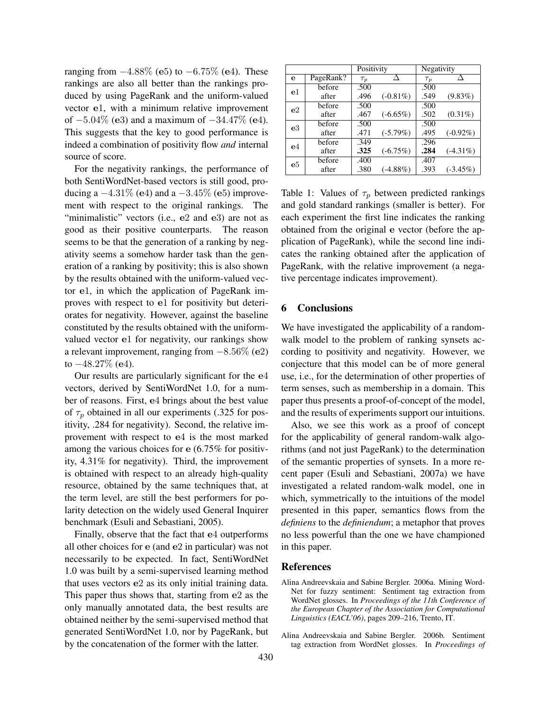ranging from  $-4.88\%$  (e5) to  $-6.75\%$  (e4). These rankings are also all better than the rankings produced by using PageRank and the uniform-valued vector e1, with a minimum relative improvement of  $-5.04\%$  (e3) and a maximum of  $-34.47\%$  (e4). This suggests that the key to good performance is indeed a combination of positivity flow *and* internal source of score.

For the negativity rankings, the performance of both SentiWordNet-based vectors is still good, producing a  $-4.31\%$  (e4) and a  $-3.45\%$  (e5) improvement with respect to the original rankings. The "minimalistic" vectors (i.e., e2 and e3) are not as good as their positive counterparts. The reason seems to be that the generation of a ranking by negativity seems a somehow harder task than the generation of a ranking by positivity; this is also shown by the results obtained with the uniform-valued vector e1, in which the application of PageRank improves with respect to e1 for positivity but deteriorates for negativity. However, against the baseline constituted by the results obtained with the uniformvalued vector e1 for negativity, our rankings show a relevant improvement, ranging from  $-8.56\%$  (e2) to  $-48.27\%$  (e4).

Our results are particularly significant for the e4 vectors, derived by SentiWordNet 1.0, for a number of reasons. First, e4 brings about the best value of  $\tau_p$  obtained in all our experiments (.325 for positivity, .284 for negativity). Second, the relative improvement with respect to e4 is the most marked among the various choices for e (6.75% for positivity, 4.31% for negativity). Third, the improvement is obtained with respect to an already high-quality resource, obtained by the same techniques that, at the term level, are still the best performers for polarity detection on the widely used General Inquirer benchmark (Esuli and Sebastiani, 2005).

Finally, observe that the fact that e4 outperforms all other choices for e (and e2 in particular) was not necessarily to be expected. In fact, SentiWordNet 1.0 was built by a semi-supervised learning method that uses vectors e2 as its only initial training data. This paper thus shows that, starting from e2 as the only manually annotated data, the best results are obtained neither by the semi-supervised method that generated SentiWordNet 1.0, nor by PageRank, but by the concatenation of the former with the latter.

|                |           | Positivity |             | Negativity |             |
|----------------|-----------|------------|-------------|------------|-------------|
| е              | PageRank? | $\tau_p$   |             | $\tau_p$   |             |
| e <sub>1</sub> | before    | .500       |             | .500       |             |
|                | after     | .496       | $(-0.81\%)$ | .549       | $(9.83\%)$  |
| e <sub>2</sub> | before    | .500       |             | .500       |             |
|                | after     | .467       | $(-6.65\%)$ | .502       | $(0.31\%)$  |
| e <sub>3</sub> | before    | .500       |             | .500       |             |
|                | after     | .471       | $(-5.79%)$  | .495       | $(-0.92\%)$ |
| e <sub>4</sub> | before    | .349       |             | .296       |             |
|                | after     | .325       | $(-6.75%)$  | .284       | $(-4.31\%)$ |
| e5             | before    | .400       |             | .407       |             |
|                | after     | .380       | $(-4.88\%)$ | .393       | $(-3.45\%)$ |

Table 1: Values of  $\tau_p$  between predicted rankings and gold standard rankings (smaller is better). For each experiment the first line indicates the ranking obtained from the original e vector (before the application of PageRank), while the second line indicates the ranking obtained after the application of PageRank, with the relative improvement (a negative percentage indicates improvement).

### 6 Conclusions

We have investigated the applicability of a randomwalk model to the problem of ranking synsets according to positivity and negativity. However, we conjecture that this model can be of more general use, i.e., for the determination of other properties of term senses, such as membership in a domain. This paper thus presents a proof-of-concept of the model, and the results of experiments support our intuitions.

Also, we see this work as a proof of concept for the applicability of general random-walk algorithms (and not just PageRank) to the determination of the semantic properties of synsets. In a more recent paper (Esuli and Sebastiani, 2007a) we have investigated a related random-walk model, one in which, symmetrically to the intuitions of the model presented in this paper, semantics flows from the *definiens* to the *definiendum*; a metaphor that proves no less powerful than the one we have championed in this paper.

#### References

- Alina Andreevskaia and Sabine Bergler. 2006a. Mining Word-Net for fuzzy sentiment: Sentiment tag extraction from WordNet glosses. In *Proceedings of the 11th Conference of the European Chapter of the Association for Computational Linguistics (EACL'06)*, pages 209–216, Trento, IT.
- Alina Andreevskaia and Sabine Bergler. 2006b. Sentiment tag extraction from WordNet glosses. In *Proceedings of*